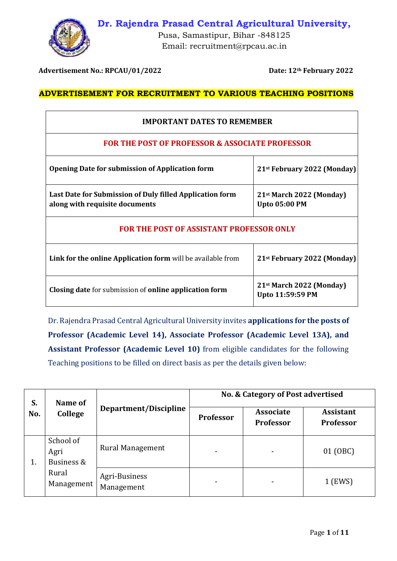



Pusa, Samastipur, Bihar -848125 Email: recruitment@rpcau.ac.in

**Advertisement No.: RPCAU/01/2022 Date: 12th February 2022**

## **ADVERTISEMENT FOR RECRUITMENT TO VARIOUS TEACHING POSITIONS**

| <b>IMPORTANT DATES TO REMEMBER</b>                                                         |                                                              |  |
|--------------------------------------------------------------------------------------------|--------------------------------------------------------------|--|
| FOR THE POST OF PROFESSOR & ASSOCIATE PROFESSOR                                            |                                                              |  |
| <b>Opening Date for submission of Application form</b>                                     | 21 <sup>st</sup> February 2022 (Monday)                      |  |
| Last Date for Submission of Duly filled Application form<br>along with requisite documents | 21 <sup>st</sup> March 2022 (Monday)<br><b>Upto 05:00 PM</b> |  |
| <b>FOR THE POST OF ASSISTANT PROFESSOR ONLY</b>                                            |                                                              |  |
| Link for the online Application form will be available from                                | 21 <sup>st</sup> February 2022 (Monday)                      |  |
| <b>Closing date for submission of online application form</b>                              | 21 <sup>st</sup> March 2022 (Monday)<br>Upto 11:59:59 PM     |  |

Dr. Rajendra Prasad Central Agricultural University invites **applications for the posts of Professor (Academic Level 14), Associate Professor (Academic Level 13A), and Assistant Professor (Academic Level 10)** from eligible candidates for the following Teaching positions to be filled on direct basis as per the details given below:

| S.<br>No. | Name of<br>College                                     | Department/Discipline       | No. & Category of Post advertised |                                      |                                      |
|-----------|--------------------------------------------------------|-----------------------------|-----------------------------------|--------------------------------------|--------------------------------------|
|           |                                                        |                             | <b>Professor</b>                  | <b>Associate</b><br><b>Professor</b> | <b>Assistant</b><br><b>Professor</b> |
| 1.        | School of<br>Agri<br>Business &<br>Rural<br>Management | <b>Rural Management</b>     |                                   |                                      | 01 (OBC)                             |
|           |                                                        | Agri-Business<br>Management |                                   |                                      | 1 (EWS)                              |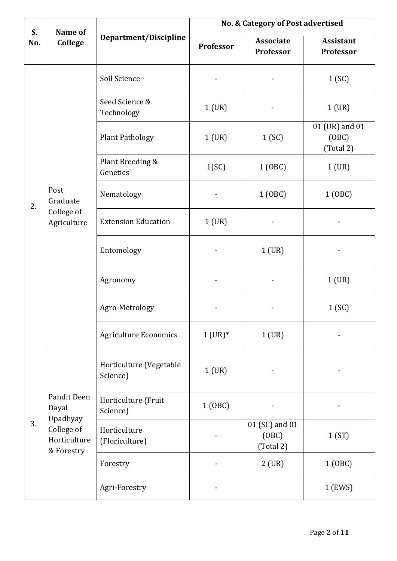| S.  | Name of<br><b>College</b>                                                    | Department/Discipline               | No. & Category of Post advertised |                                      |                                      |
|-----|------------------------------------------------------------------------------|-------------------------------------|-----------------------------------|--------------------------------------|--------------------------------------|
| No. |                                                                              |                                     | <b>Professor</b>                  | <b>Associate</b><br>Professor        | <b>Assistant</b><br>Professor        |
| 2.  |                                                                              | Soil Science                        |                                   |                                      | 1(SC)                                |
|     |                                                                              | Seed Science &<br>Technology        | $1$ (UR)                          |                                      | $1$ (UR)                             |
|     |                                                                              | <b>Plant Pathology</b>              | 1 (UR)                            | 1(SC)                                | 01 (UR) and 01<br>(OBC)<br>(Total 2) |
|     |                                                                              | Plant Breeding &<br>Genetics        | 1(SC)                             | 1 (OBC)                              | $1$ (UR)                             |
|     | Post<br>Graduate                                                             | Nematology                          |                                   | 1 (OBC)                              | 1 (OBC)                              |
|     | College of<br>Agriculture                                                    | <b>Extension Education</b>          | $1$ (UR)                          |                                      |                                      |
|     |                                                                              | Entomology                          |                                   | 1 (UR)                               |                                      |
|     |                                                                              | Agronomy                            |                                   |                                      | 1 (UR)                               |
|     |                                                                              | Agro-Metrology                      |                                   |                                      | 1(SC)                                |
|     |                                                                              | <b>Agriculture Economics</b>        | $1 (UR)^*$                        | $1$ (UR)                             |                                      |
| 3.  | Pandit Deen<br>Dayal<br>Upadhyay<br>College of<br>Horticulture<br>& Forestry | Horticulture (Vegetable<br>Science) | $1$ (UR)                          |                                      |                                      |
|     |                                                                              | Horticulture (Fruit<br>Science)     | 1 (OBC)                           |                                      |                                      |
|     |                                                                              | Horticulture<br>(Floriculture)      |                                   | 01 (SC) and 01<br>(OBC)<br>(Total 2) | 1(ST)                                |
|     |                                                                              | Forestry                            |                                   | $2$ (UR)                             | 1 (OBC)                              |
|     |                                                                              | Agri-Forestry                       |                                   |                                      | 1 (EWS)                              |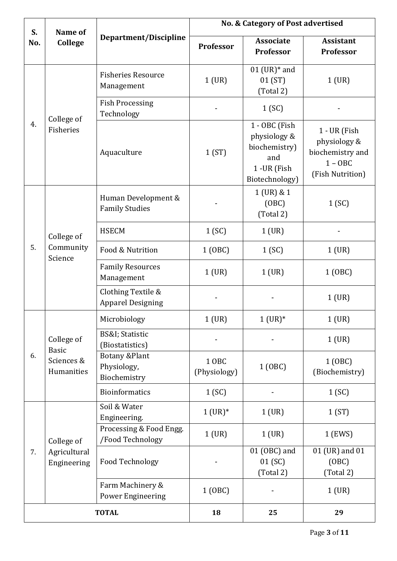| S.           | Name of                                                | Department/Discipline                                   | No. & Category of Post advertised |                                                                                         |                                                                                   |
|--------------|--------------------------------------------------------|---------------------------------------------------------|-----------------------------------|-----------------------------------------------------------------------------------------|-----------------------------------------------------------------------------------|
| No.          | <b>College</b>                                         |                                                         | <b>Professor</b>                  | <b>Associate</b><br>Professor                                                           | <b>Assistant</b><br>Professor                                                     |
| 4.           | College of<br>Fisheries                                | <b>Fisheries Resource</b><br>Management                 | $1$ (UR)                          | $01$ (UR) $*$ and<br>01 (ST)<br>(Total 2)                                               | $1$ (UR)                                                                          |
|              |                                                        | <b>Fish Processing</b><br>Technology                    |                                   | 1(SC)                                                                                   |                                                                                   |
|              |                                                        | Aquaculture                                             | 1(ST)                             | 1 - OBC (Fish<br>physiology &<br>biochemistry)<br>and<br>1 - UR (Fish<br>Biotechnology) | 1 - UR (Fish<br>physiology &<br>biochemistry and<br>$1 - OBC$<br>(Fish Nutrition) |
|              | College of<br>Community<br>Science                     | Human Development &<br><b>Family Studies</b>            |                                   | 1 (UR) & 1<br>(OBC)<br>(Total 2)                                                        | 1(SC)                                                                             |
|              |                                                        | <b>HSECM</b>                                            | 1(SC)                             | $1$ (UR)                                                                                |                                                                                   |
| 5.           |                                                        | Food & Nutrition                                        | 1 (OBC)                           | 1(SC)                                                                                   | $1$ (UR)                                                                          |
|              |                                                        | <b>Family Resources</b><br>Management                   | $1$ (UR)                          | $1$ (UR)                                                                                | 1 (OBC)                                                                           |
|              |                                                        | Clothing Textile &<br><b>Apparel Designing</b>          |                                   |                                                                                         | $1$ (UR)                                                                          |
|              | College of<br><b>Basic</b><br>Sciences &<br>Humanities | Microbiology                                            | 1 (UR)                            | $1 (UR)*$                                                                               | $1$ (UR)                                                                          |
| 6.           |                                                        | <b>BS&amp;I</b> ; Statistic<br>(Biostatistics)          |                                   |                                                                                         | $1$ (UR)                                                                          |
|              |                                                        | <b>Botany &amp;Plant</b><br>Physiology,<br>Biochemistry | 1 OBC<br>(Physiology)             | 1 (OBC)                                                                                 | 1 (OBC)<br>(Biochemistry)                                                         |
|              |                                                        | <b>Bioinformatics</b>                                   | 1(SC)                             |                                                                                         | 1(SC)                                                                             |
| 7.           | College of<br>Agricultural<br>Engineering              | Soil & Water<br>Engineering.                            | $1 (UR)*$                         | 1 (UR)                                                                                  | 1(ST)                                                                             |
|              |                                                        | Processing & Food Engg.<br>/Food Technology             | $1$ (UR)                          | $1$ (UR)                                                                                | 1 (EWS)                                                                           |
|              |                                                        | Food Technology                                         |                                   | 01 (OBC) and<br>01(SC)<br>(Total 2)                                                     | 01 (UR) and 01<br>(OBC)<br>(Total 2)                                              |
|              |                                                        | Farm Machinery &<br><b>Power Engineering</b>            | 1 (OBC)                           |                                                                                         | $1$ (UR)                                                                          |
| <b>TOTAL</b> |                                                        | 18                                                      | 25                                | 29                                                                                      |                                                                                   |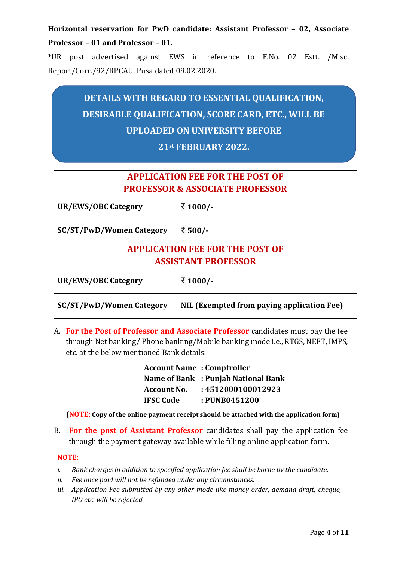**Horizontal reservation for PwD candidate: Assistant Professor – 02, Associate Professor – 01 and Professor – 01.** 

\*UR post advertised against EWS in reference to F.No. 02 Estt. /Misc. Report/Corr./92/RPCAU, Pusa dated 09.02.2020.

# **DETAILS WITH REGARD TO ESSENTIAL QUALIFICATION, DESIRABLE QUALIFICATION, SCORE CARD, ETC., WILL BE UPLOADED ON UNIVERSITY BEFORE**

# **21st FEBRUARY 2022.**

| <b>APPLICATION FEE FOR THE POST OF</b><br><b>PROFESSOR &amp; ASSOCIATE PROFESSOR</b> |                                            |  |
|--------------------------------------------------------------------------------------|--------------------------------------------|--|
| UR/EWS/OBC Category                                                                  | ₹ 1000/-                                   |  |
| <b>SC/ST/PwD/Women Category</b>                                                      | ₹ 500/-                                    |  |
| <b>APPLICATION FEE FOR THE POST OF</b>                                               |                                            |  |
| <b>ASSISTANT PROFESSOR</b>                                                           |                                            |  |
| UR/EWS/OBC Category                                                                  | ₹ 1000/-                                   |  |
| <b>SC/ST/PwD/Women Category</b>                                                      | NIL (Exempted from paying application Fee) |  |

A. **For the Post of Professor and Associate Professor** candidates must pay the fee through Net banking/ Phone banking/Mobile banking mode i.e., RTGS, NEFT, IMPS, etc. at the below mentioned Bank details:

| <b>Account Name: Comptroller</b> |                                     |
|----------------------------------|-------------------------------------|
|                                  | Name of Bank : Punjab National Bank |
| <b>Account No.</b>               | : 4512000100012923                  |
| <b>IFSC Code</b>                 | : PUNB0451200                       |

**(NOTE: Copy of the online payment receipt should be attached with the application form)**

B. **For the post of Assistant Professor** candidates shall pay the application fee through the payment gateway available while filling online application form.

#### **NOTE:**

- *i. Bank charges in addition to specified application fee shall be borne by the candidate.*
- *ii. Fee once paid will not be refunded under any circumstances.*
- *iii. Application Fee submitted by any other mode like money order, demand draft, cheque, IPO etc. will be rejected.*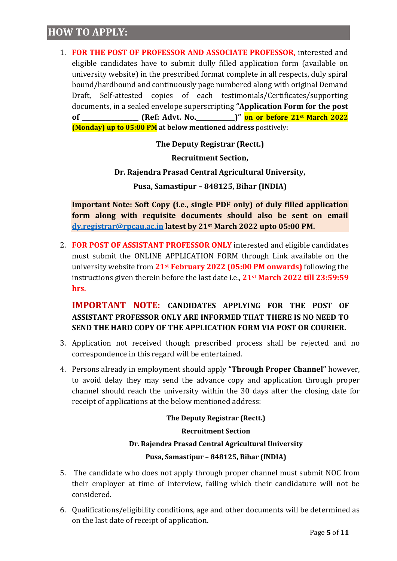# **HOW TO APPLY:**

1. **FOR THE POST OF PROFESSOR AND ASSOCIATE PROFESSOR,** interested and eligible candidates have to submit dully filled application form (available on university website) in the prescribed format complete in all respects, duly spiral bound/hardbound and continuously page numbered along with original Demand Draft, Self-attested copies of each testimonials/Certificates/supporting documents, in a sealed envelope superscripting **"Application Form for the post of \_\_\_\_\_\_\_\_\_\_\_\_\_\_\_\_\_\_\_ (Ref: Advt. No.\_\_\_\_\_\_\_\_\_\_\_\_\_)" on or before 21st March 2022 (Monday) up to 05:00 PM at below mentioned address** positively:

**The Deputy Registrar (Rectt.)**

**Recruitment Section,**

**Dr. Rajendra Prasad Central Agricultural University,**

**Pusa, Samastipur – 848125, Bihar (INDIA)**

**Important Note: Soft Copy (i.e., single PDF only) of duly filled application form along with requisite documents should also be sent on email [dy.registrar@rpcau.ac.in](mailto:dy.registrar@rpcau.ac.in) latest by 21st March 2022 upto 05:00 PM.**

2. **FOR POST OF ASSISTANT PROFESSOR ONLY** interested and eligible candidates must submit the ONLINE APPLICATION FORM through Link available on the university website from **21st February 2022 (05:00 PM onwards)** following the instructions given therein before the last date i.e., **21st March 2022 till 23:59:59 hrs.**

# **IMPORTANT NOTE: CANDIDATES APPLYING FOR THE POST OF ASSISTANT PROFESSOR ONLY ARE INFORMED THAT THERE IS NO NEED TO SEND THE HARD COPY OF THE APPLICATION FORM VIA POST OR COURIER.**

- 3. Application not received though prescribed process shall be rejected and no correspondence in this regard will be entertained.
- 4. Persons already in employment should apply **"Through Proper Channel"** however, to avoid delay they may send the advance copy and application through proper channel should reach the university within the 30 days after the closing date for receipt of applications at the below mentioned address:

#### **The Deputy Registrar (Rectt.)**

#### **Recruitment Section**

#### **Dr. Rajendra Prasad Central Agricultural University**

#### **Pusa, Samastipur – 848125, Bihar (INDIA)**

- 5. The candidate who does not apply through proper channel must submit NOC from their employer at time of interview, failing which their candidature will not be considered.
- 6. Qualifications/eligibility conditions, age and other documents will be determined as on the last date of receipt of application.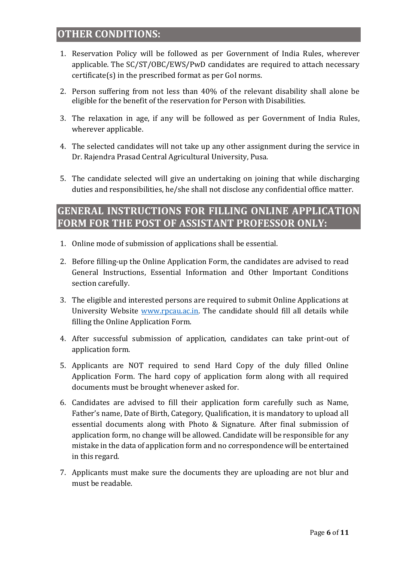# **OTHER CONDITIONS:**

- 1. Reservation Policy will be followed as per Government of India Rules, wherever applicable. The SC/ST/OBC/EWS/PwD candidates are required to attach necessary certificate(s) in the prescribed format as per GoI norms.
- 2. Person suffering from not less than 40% of the relevant disability shall alone be eligible for the benefit of the reservation for Person with Disabilities.
- 3. The relaxation in age, if any will be followed as per Government of India Rules, wherever applicable.
- 4. The selected candidates will not take up any other assignment during the service in Dr. Rajendra Prasad Central Agricultural University, Pusa.
- 5. The candidate selected will give an undertaking on joining that while discharging duties and responsibilities, he/she shall not disclose any confidential office matter.

# **GENERAL INSTRUCTIONS FOR FILLING ONLINE APPLICATION FORM FOR THE POST OF ASSISTANT PROFESSOR ONLY:**

- 1. Online mode of submission of applications shall be essential.
- 2. Before filling-up the Online Application Form, the candidates are advised to read General Instructions, Essential Information and Other Important Conditions section carefully.
- 3. The eligible and interested persons are required to submit Online Applications at University Website [www.rpcau.ac.in.](http://www.rpcau.ac.in/) The candidate should fill all details while filling the Online Application Form.
- 4. After successful submission of application, candidates can take print-out of application form.
- 5. Applicants are NOT required to send Hard Copy of the duly filled Online Application Form. The hard copy of application form along with all required documents must be brought whenever asked for.
- 6. Candidates are advised to fill their application form carefully such as Name, Father's name, Date of Birth, Category, Qualification, it is mandatory to upload all essential documents along with Photo & Signature. After final submission of application form, no change will be allowed. Candidate will be responsible for any mistake in the data of application form and no correspondence will be entertained in this regard.
- 7. Applicants must make sure the documents they are uploading are not blur and must be readable.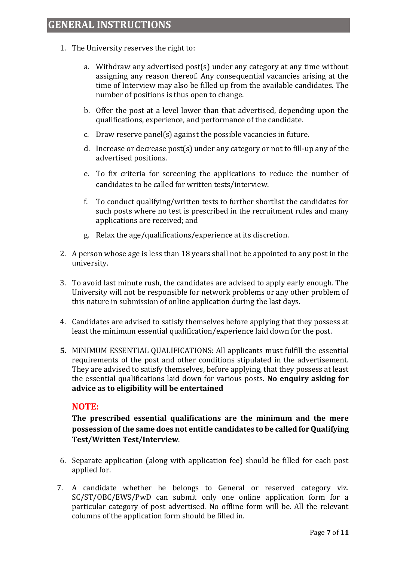- 1. The University reserves the right to:
	- a. Withdraw any advertised post(s) under any category at any time without assigning any reason thereof. Any consequential vacancies arising at the time of Interview may also be filled up from the available candidates. The number of positions is thus open to change.
	- b. Offer the post at a level lower than that advertised, depending upon the qualifications, experience, and performance of the candidate.
	- c. Draw reserve panel(s) against the possible vacancies in future.
	- d. Increase or decrease post(s) under any category or not to fill-up any of the advertised positions.
	- e. To fix criteria for screening the applications to reduce the number of candidates to be called for written tests/interview.
	- f. To conduct qualifying/written tests to further shortlist the candidates for such posts where no test is prescribed in the recruitment rules and many applications are received; and
	- g. Relax the age/qualifications/experience at its discretion.
- 2. A person whose age is less than 18 years shall not be appointed to any post in the university.
- 3. To avoid last minute rush, the candidates are advised to apply early enough. The University will not be responsible for network problems or any other problem of this nature in submission of online application during the last days.
- 4. Candidates are advised to satisfy themselves before applying that they possess at least the minimum essential qualification/experience laid down for the post.
- **5.** MINIMUM ESSENTIAL QUALIFICATIONS: All applicants must fulfill the essential requirements of the post and other conditions stipulated in the advertisement. They are advised to satisfy themselves, before applying, that they possess at least the essential qualifications laid down for various posts. **No enquiry asking for advice as to eligibility will be entertained**

## **NOTE:**

**The prescribed essential qualifications are the minimum and the mere possession of the same does not entitle candidates to be called for Qualifying Test/Written Test/Interview**.

- 6. Separate application (along with application fee) should be filled for each post applied for.
- 7. A candidate whether he belongs to General or reserved category viz. SC/ST/OBC/EWS/PwD can submit only one online application form for a particular category of post advertised. No offline form will be. All the relevant columns of the application form should be filled in.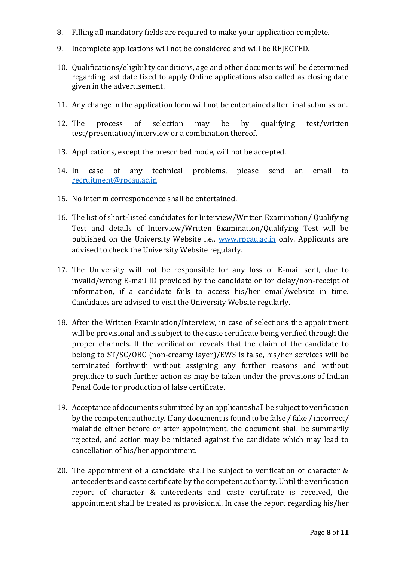- 8. Filling all mandatory fields are required to make your application complete.
- 9. Incomplete applications will not be considered and will be REJECTED.
- 10. Qualifications/eligibility conditions, age and other documents will be determined regarding last date fixed to apply Online applications also called as closing date given in the advertisement.
- 11. Any change in the application form will not be entertained after final submission.
- 12. The process of selection may be by qualifying test/written test/presentation/interview or a combination thereof.
- 13. Applications, except the prescribed mode, will not be accepted.
- 14. In case of any technical problems, please send an email to [recruitment@rpcau.ac.in](mailto:recruitment@rpcau.ac.in)
- 15. No interim correspondence shall be entertained.
- 16. The list of short-listed candidates for Interview/Written Examination/ Qualifying Test and details of Interview/Written Examination/Qualifying Test will be published on the University Website i.e., [www.rpcau.ac.in](http://www.rpcau.ac.in/) only. Applicants are advised to check the University Website regularly.
- 17. The University will not be responsible for any loss of E-mail sent, due to invalid/wrong E-mail ID provided by the candidate or for delay/non-receipt of information, if a candidate fails to access his/her email/website in time. Candidates are advised to visit the University Website regularly.
- 18. After the Written Examination/Interview, in case of selections the appointment will be provisional and is subject to the caste certificate being verified through the proper channels. If the verification reveals that the claim of the candidate to belong to ST/SC/OBC (non-creamy layer)/EWS is false, his/her services will be terminated forthwith without assigning any further reasons and without prejudice to such further action as may be taken under the provisions of Indian Penal Code for production of false certificate.
- 19. Acceptance of documents submitted by an applicant shall be subject to verification by the competent authority. If any document is found to be false / fake / incorrect/ malafide either before or after appointment, the document shall be summarily rejected, and action may be initiated against the candidate which may lead to cancellation of his/her appointment.
- 20. The appointment of a candidate shall be subject to verification of character & antecedents and caste certificate by the competent authority. Until the verification report of character & antecedents and caste certificate is received, the appointment shall be treated as provisional. In case the report regarding his/her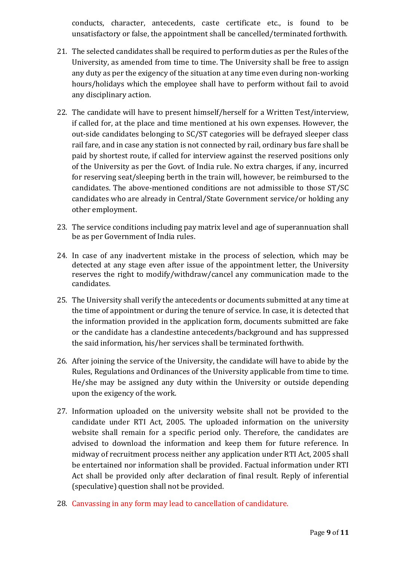conducts, character, antecedents, caste certificate etc., is found to be unsatisfactory or false, the appointment shall be cancelled/terminated forthwith.

- 21. The selected candidates shall be required to perform duties as per the Rules of the University, as amended from time to time. The University shall be free to assign any duty as per the exigency of the situation at any time even during non-working hours/holidays which the employee shall have to perform without fail to avoid any disciplinary action.
- 22. The candidate will have to present himself/herself for a Written Test/interview, if called for, at the place and time mentioned at his own expenses. However, the out-side candidates belonging to SC/ST categories will be defrayed sleeper class rail fare, and in case any station is not connected by rail, ordinary bus fare shall be paid by shortest route, if called for interview against the reserved positions only of the University as per the Govt. of India rule. No extra charges, if any, incurred for reserving seat/sleeping berth in the train will, however, be reimbursed to the candidates. The above-mentioned conditions are not admissible to those ST/SC candidates who are already in Central/State Government service/or holding any other employment.
- 23. The service conditions including pay matrix level and age of superannuation shall be as per Government of India rules.
- 24. In case of any inadvertent mistake in the process of selection, which may be detected at any stage even after issue of the appointment letter, the University reserves the right to modify/withdraw/cancel any communication made to the candidates.
- 25. The University shall verify the antecedents or documents submitted at any time at the time of appointment or during the tenure of service. In case, it is detected that the information provided in the application form, documents submitted are fake or the candidate has a clandestine antecedents/background and has suppressed the said information, his/her services shall be terminated forthwith.
- 26. After joining the service of the University, the candidate will have to abide by the Rules, Regulations and Ordinances of the University applicable from time to time. He/she may be assigned any duty within the University or outside depending upon the exigency of the work.
- 27. Information uploaded on the university website shall not be provided to the candidate under RTI Act, 2005. The uploaded information on the university website shall remain for a specific period only. Therefore, the candidates are advised to download the information and keep them for future reference. In midway of recruitment process neither any application under RTI Act, 2005 shall be entertained nor information shall be provided. Factual information under RTI Act shall be provided only after declaration of final result. Reply of inferential (speculative) question shall not be provided.
- 28. Canvassing in any form may lead to cancellation of candidature.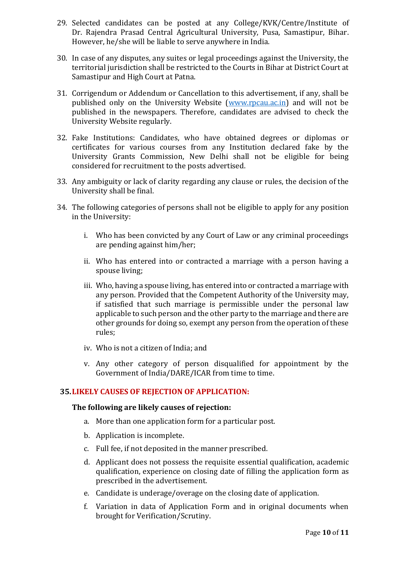- 29. Selected candidates can be posted at any College/KVK/Centre/Institute of Dr. Rajendra Prasad Central Agricultural University, Pusa, Samastipur, Bihar. However, he/she will be liable to serve anywhere in India.
- 30. In case of any disputes, any suites or legal proceedings against the University, the territorial jurisdiction shall be restricted to the Courts in Bihar at District Court at Samastipur and High Court at Patna.
- 31. Corrigendum or Addendum or Cancellation to this advertisement, if any, shall be published only on the University Website [\(www.rpcau.ac.in\)](http://www.rpcau.ac.in/) and will not be published in the newspapers. Therefore, candidates are advised to check the University Website regularly.
- 32. Fake Institutions: Candidates, who have obtained degrees or diplomas or certificates for various courses from any Institution declared fake by the University Grants Commission, New Delhi shall not be eligible for being considered for recruitment to the posts advertised.
- 33. Any ambiguity or lack of clarity regarding any clause or rules, the decision of the University shall be final.
- 34. The following categories of persons shall not be eligible to apply for any position in the University:
	- i. Who has been convicted by any Court of Law or any criminal proceedings are pending against him/her;
	- ii. Who has entered into or contracted a marriage with a person having a spouse living;
	- iii. Who, having a spouse living, has entered into or contracted a marriage with any person. Provided that the Competent Authority of the University may, if satisfied that such marriage is permissible under the personal law applicable to such person and the other party to the marriage and there are other grounds for doing so, exempt any person from the operation of these rules;
	- iv. Who is not a citizen of India; and
	- v. Any other category of person disqualified for appointment by the Government of India/DARE/ICAR from time to time.

#### **35. LIKELY CAUSES OF REJECTION OF APPLICATION:**

#### **The following are likely causes of rejection:**

- a. More than one application form for a particular post.
- b. Application is incomplete.
- c. Full fee, if not deposited in the manner prescribed.
- d. Applicant does not possess the requisite essential qualification, academic qualification, experience on closing date of filling the application form as prescribed in the advertisement.
- e. Candidate is underage/overage on the closing date of application.
- f. Variation in data of Application Form and in original documents when brought for Verification/Scrutiny.